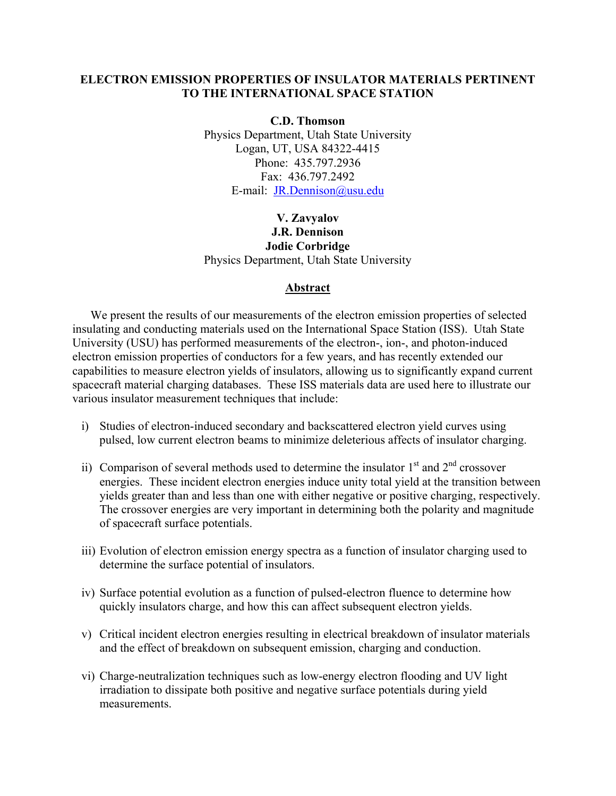## **ELECTRON EMISSION PROPERTIES OF INSULATOR MATERIALS PERTINENT TO THE INTERNATIONAL SPACE STATION**

**C.D. Thomson**  Physics Department, Utah State University Logan, UT, USA 84322-4415 Phone: 435.797.2936 Fax: 436.797.2492 E-mail: [JR.Dennison@usu.edu](mailto:JR.Dennison@usu.edu)

# **V. Zavyalov J.R. Dennison Jodie Corbridge**  Physics Department, Utah State University

### **Abstract**

We present the results of our measurements of the electron emission properties of selected insulating and conducting materials used on the International Space Station (ISS). Utah State University (USU) has performed measurements of the electron-, ion-, and photon-induced electron emission properties of conductors for a few years, and has recently extended our capabilities to measure electron yields of insulators, allowing us to significantly expand current spacecraft material charging databases. These ISS materials data are used here to illustrate our various insulator measurement techniques that include:

- i) Studies of electron-induced secondary and backscattered electron yield curves using pulsed, low current electron beams to minimize deleterious affects of insulator charging.
- ii) Comparison of several methods used to determine the insulator  $1<sup>st</sup>$  and  $2<sup>nd</sup>$  crossover energies. These incident electron energies induce unity total yield at the transition between yields greater than and less than one with either negative or positive charging, respectively. The crossover energies are very important in determining both the polarity and magnitude of spacecraft surface potentials.
- iii) Evolution of electron emission energy spectra as a function of insulator charging used to determine the surface potential of insulators.
- iv) Surface potential evolution as a function of pulsed-electron fluence to determine how quickly insulators charge, and how this can affect subsequent electron yields.
- v) Critical incident electron energies resulting in electrical breakdown of insulator materials and the effect of breakdown on subsequent emission, charging and conduction.
- vi) Charge-neutralization techniques such as low-energy electron flooding and UV light irradiation to dissipate both positive and negative surface potentials during yield measurements.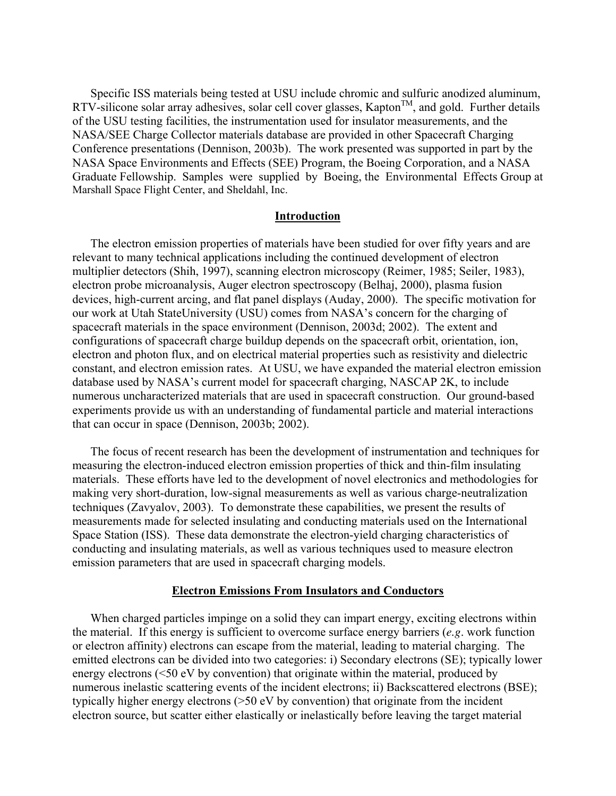Specific ISS materials being tested at USU include chromic and sulfuric anodized aluminum, RTV-silicone solar array adhesives, solar cell cover glasses, Kapton<sup>TM</sup>, and gold. Further details of the USU testing facilities, the instrumentation used for insulator measurements, and the NASA/SEE Charge Collector materials database are provided in other Spacecraft Charging Conference presentations (Dennison, 2003b). The work presented was supported in part by the NASA Space Environments and Effects (SEE) Program, the Boeing Corporation, and a NASA Graduate Fellowship. Samples were supplied by Boeing, the Environmental Effects Group at Marshall Space Flight Center, and Sheldahl, Inc.

### **Introduction**

The electron emission properties of materials have been studied for over fifty years and are relevant to many technical applications including the continued development of electron multiplier detectors (Shih, 1997), scanning electron microscopy (Reimer, 1985; Seiler, 1983), electron probe microanalysis, Auger electron spectroscopy (Belhaj, 2000), plasma fusion devices, high-current arcing, and flat panel displays (Auday, 2000). The specific motivation for our work at Utah StateUniversity (USU) comes from NASA's concern for the charging of spacecraft materials in the space environment (Dennison, 2003d; 2002). The extent and configurations of spacecraft charge buildup depends on the spacecraft orbit, orientation, ion, electron and photon flux, and on electrical material properties such as resistivity and dielectric constant, and electron emission rates. At USU, we have expanded the material electron emission database used by NASA's current model for spacecraft charging, NASCAP 2K, to include numerous uncharacterized materials that are used in spacecraft construction. Our ground-based experiments provide us with an understanding of fundamental particle and material interactions that can occur in space (Dennison, 2003b; 2002).

The focus of recent research has been the development of instrumentation and techniques for measuring the electron-induced electron emission properties of thick and thin-film insulating materials. These efforts have led to the development of novel electronics and methodologies for making very short-duration, low-signal measurements as well as various charge-neutralization techniques (Zavyalov, 2003). To demonstrate these capabilities, we present the results of measurements made for selected insulating and conducting materials used on the International Space Station (ISS). These data demonstrate the electron-yield charging characteristics of conducting and insulating materials, as well as various techniques used to measure electron emission parameters that are used in spacecraft charging models.

#### **Electron Emissions From Insulators and Conductors**

When charged particles impinge on a solid they can impart energy, exciting electrons within the material. If this energy is sufficient to overcome surface energy barriers (*e.g*. work function or electron affinity) electrons can escape from the material, leading to material charging. The emitted electrons can be divided into two categories: i) Secondary electrons (SE); typically lower energy electrons (<50 eV by convention) that originate within the material, produced by numerous inelastic scattering events of the incident electrons; ii) Backscattered electrons (BSE); typically higher energy electrons (>50 eV by convention) that originate from the incident electron source, but scatter either elastically or inelastically before leaving the target material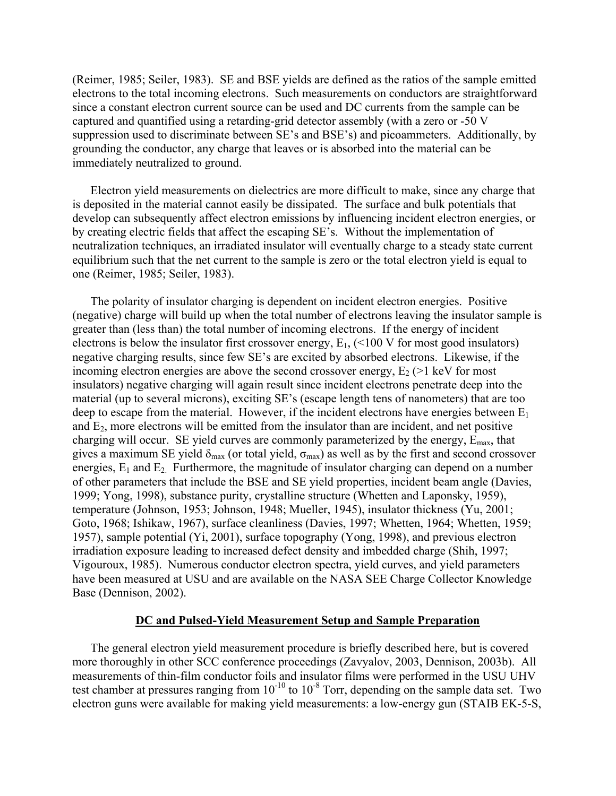(Reimer, 1985; Seiler, 1983). SE and BSE yields are defined as the ratios of the sample emitted electrons to the total incoming electrons. Such measurements on conductors are straightforward since a constant electron current source can be used and DC currents from the sample can be captured and quantified using a retarding-grid detector assembly (with a zero or -50 V suppression used to discriminate between SE's and BSE's) and picoammeters. Additionally, by grounding the conductor, any charge that leaves or is absorbed into the material can be immediately neutralized to ground.

Electron yield measurements on dielectrics are more difficult to make, since any charge that is deposited in the material cannot easily be dissipated. The surface and bulk potentials that develop can subsequently affect electron emissions by influencing incident electron energies, or by creating electric fields that affect the escaping SE's. Without the implementation of neutralization techniques, an irradiated insulator will eventually charge to a steady state current equilibrium such that the net current to the sample is zero or the total electron yield is equal to one (Reimer, 1985; Seiler, 1983).

The polarity of insulator charging is dependent on incident electron energies. Positive (negative) charge will build up when the total number of electrons leaving the insulator sample is greater than (less than) the total number of incoming electrons. If the energy of incident electrons is below the insulator first crossover energy,  $E_1$ , (<100 V for most good insulators) negative charging results, since few SE's are excited by absorbed electrons. Likewise, if the incoming electron energies are above the second crossover energy,  $E_2$  ( $>1$  keV for most insulators) negative charging will again result since incident electrons penetrate deep into the material (up to several microns), exciting SE's (escape length tens of nanometers) that are too deep to escape from the material. However, if the incident electrons have energies between  $E_1$ and  $E_2$ , more electrons will be emitted from the insulator than are incident, and net positive charging will occur. SE yield curves are commonly parameterized by the energy,  $E_{\text{max}}$ , that gives a maximum SE yield  $\delta_{\text{max}}$  (or total yield,  $\sigma_{\text{max}}$ ) as well as by the first and second crossover energies,  $E_1$  and  $E_2$ . Furthermore, the magnitude of insulator charging can depend on a number of other parameters that include the BSE and SE yield properties, incident beam angle (Davies, 1999; Yong, 1998), substance purity, crystalline structure (Whetten and Laponsky, 1959), temperature (Johnson, 1953; Johnson, 1948; Mueller, 1945), insulator thickness (Yu, 2001; Goto, 1968; Ishikaw, 1967), surface cleanliness (Davies, 1997; Whetten, 1964; Whetten, 1959; 1957), sample potential (Yi, 2001), surface topography (Yong, 1998), and previous electron irradiation exposure leading to increased defect density and imbedded charge (Shih, 1997; Vigouroux, 1985). Numerous conductor electron spectra, yield curves, and yield parameters have been measured at USU and are available on the NASA SEE Charge Collector Knowledge Base (Dennison, 2002).

### **DC and Pulsed-Yield Measurement Setup and Sample Preparation**

The general electron yield measurement procedure is briefly described here, but is covered more thoroughly in other SCC conference proceedings (Zavyalov, 2003, Dennison, 2003b). All measurements of thin-film conductor foils and insulator films were performed in the USU UHV test chamber at pressures ranging from  $10^{-10}$  to  $10^{-8}$  Torr, depending on the sample data set. Two electron guns were available for making yield measurements: a low-energy gun (STAIB EK-5-S,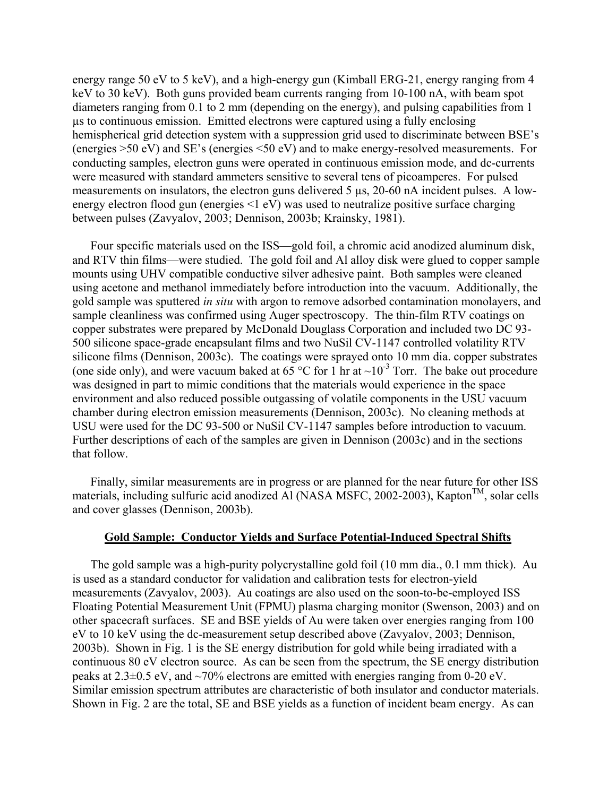energy range 50 eV to 5 keV), and a high-energy gun (Kimball ERG-21, energy ranging from 4 keV to 30 keV). Both guns provided beam currents ranging from 10-100 nA, with beam spot diameters ranging from 0.1 to 2 mm (depending on the energy), and pulsing capabilities from 1 µs to continuous emission. Emitted electrons were captured using a fully enclosing hemispherical grid detection system with a suppression grid used to discriminate between BSE's (energies >50 eV) and SE's (energies <50 eV) and to make energy-resolved measurements. For conducting samples, electron guns were operated in continuous emission mode, and dc-currents were measured with standard ammeters sensitive to several tens of picoamperes. For pulsed measurements on insulators, the electron guns delivered 5 µs, 20-60 nA incident pulses. A lowenergy electron flood gun (energies <1 eV) was used to neutralize positive surface charging between pulses (Zavyalov, 2003; Dennison, 2003b; Krainsky, 1981).

Four specific materials used on the ISS—gold foil, a chromic acid anodized aluminum disk, and RTV thin films—were studied. The gold foil and Al alloy disk were glued to copper sample mounts using UHV compatible conductive silver adhesive paint. Both samples were cleaned using acetone and methanol immediately before introduction into the vacuum. Additionally, the gold sample was sputtered *in situ* with argon to remove adsorbed contamination monolayers, and sample cleanliness was confirmed using Auger spectroscopy. The thin-film RTV coatings on copper substrates were prepared by McDonald Douglass Corporation and included two DC 93- 500 silicone space-grade encapsulant films and two NuSil CV-1147 controlled volatility RTV silicone films (Dennison, 2003c). The coatings were sprayed onto 10 mm dia. copper substrates (one side only), and were vacuum baked at 65 °C for 1 hr at  $\sim 10^{-3}$  Torr. The bake out procedure was designed in part to mimic conditions that the materials would experience in the space environment and also reduced possible outgassing of volatile components in the USU vacuum chamber during electron emission measurements (Dennison, 2003c). No cleaning methods at USU were used for the DC 93-500 or NuSil CV-1147 samples before introduction to vacuum. Further descriptions of each of the samples are given in Dennison (2003c) and in the sections that follow.

Finally, similar measurements are in progress or are planned for the near future for other ISS materials, including sulfuric acid anodized Al (NASA MSFC, 2002-2003), Kapton<sup>TM</sup>, solar cells and cover glasses (Dennison, 2003b).

## **Gold Sample: Conductor Yields and Surface Potential-Induced Spectral Shifts**

The gold sample was a high-purity polycrystalline gold foil (10 mm dia., 0.1 mm thick). Au is used as a standard conductor for validation and calibration tests for electron-yield measurements (Zavyalov, 2003). Au coatings are also used on the soon-to-be-employed ISS Floating Potential Measurement Unit (FPMU) plasma charging monitor (Swenson, 2003) and on other spacecraft surfaces. SE and BSE yields of Au were taken over energies ranging from 100 eV to 10 keV using the dc-measurement setup described above (Zavyalov, 2003; Dennison, 2003b). Shown in Fig. 1 is the SE energy distribution for gold while being irradiated with a continuous 80 eV electron source. As can be seen from the spectrum, the SE energy distribution peaks at  $2.3\pm0.5$  eV, and  $\sim70\%$  electrons are emitted with energies ranging from 0-20 eV. Similar emission spectrum attributes are characteristic of both insulator and conductor materials. Shown in Fig. 2 are the total, SE and BSE yields as a function of incident beam energy. As can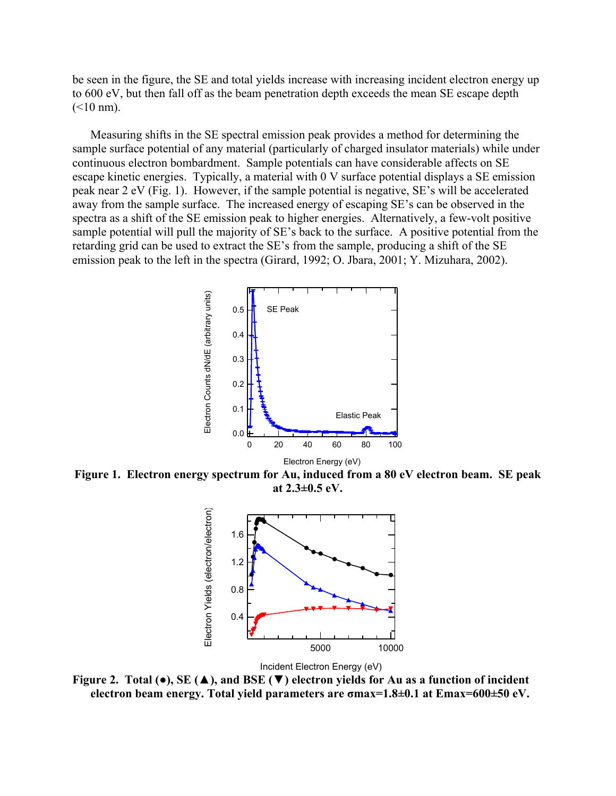be seen in the figure, the SE and total yields increase with increasing incident electron energy up to 600 eV, but then fall off as the beam penetration depth exceeds the mean SE escape depth  $(<10$  nm).

Measuring shifts in the SE spectral emission peak provides a method for determining the sample surface potential of any material (particularly of charged insulator materials) while under continuous electron bombardment. Sample potentials can have considerable affects on SE escape kinetic energies. Typically, a material with 0 V surface potential displays a SE emission peak near 2 eV (Fig. 1). However, if the sample potential is negative, SE's will be accelerated away from the sample surface. The increased energy of escaping SE's can be observed in the spectra as a shift of the SE emission peak to higher energies. Alternatively, a few-volt positive sample potential will pull the majority of SE's back to the surface. A positive potential from the retarding grid can be used to extract the SE's from the sample, producing a shift of the SE emission peak to the left in the spectra (Girard, 1992; O. Jbara, 2001; Y. Mizuhara, 2002).



**Figure 1. Electron energy spectrum for Au, induced from a 80 eV electron beam. SE peak at 2.3±0.5 eV.** 



Incident Electron Energy (eV)

**Figure 2. Total (●), SE (▲), and BSE (▼) electron yields for Au as a function of incident electron beam energy. Total yield parameters are σmax=1.8±0.1 at Emax=600±50 eV.**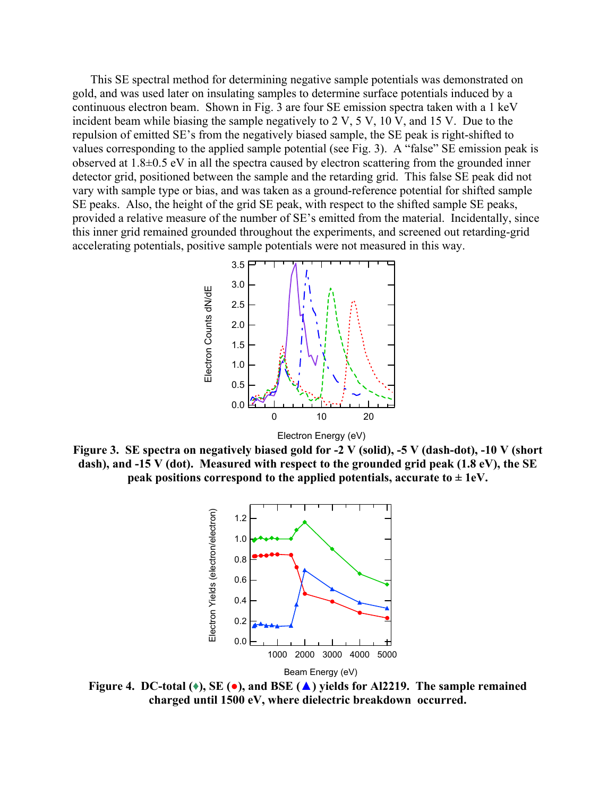This SE spectral method for determining negative sample potentials was demonstrated on gold, and was used later on insulating samples to determine surface potentials induced by a continuous electron beam. Shown in Fig. 3 are four SE emission spectra taken with a 1 keV incident beam while biasing the sample negatively to 2 V, 5 V, 10 V, and 15 V. Due to the repulsion of emitted SE's from the negatively biased sample, the SE peak is right-shifted to values corresponding to the applied sample potential (see Fig. 3). A "false" SE emission peak is observed at 1.8±0.5 eV in all the spectra caused by electron scattering from the grounded inner detector grid, positioned between the sample and the retarding grid. This false SE peak did not vary with sample type or bias, and was taken as a ground-reference potential for shifted sample SE peaks. Also, the height of the grid SE peak, with respect to the shifted sample SE peaks, provided a relative measure of the number of SE's emitted from the material. Incidentally, since this inner grid remained grounded throughout the experiments, and screened out retarding-grid accelerating potentials, positive sample potentials were not measured in this way.



**Figure 3. SE spectra on negatively biased gold for -2 V (solid), -5 V (dash-dot), -10 V (short dash), and -15 V (dot). Measured with respect to the grounded grid peak (1.8 eV), the SE peak positions correspond to the applied potentials, accurate to**  $\pm$  **1eV.** 



**Figure 4. DC-total (♦), SE (●), and BSE (▲) yields for Al2219. The sample remained charged until 1500 eV, where dielectric breakdown occurred.**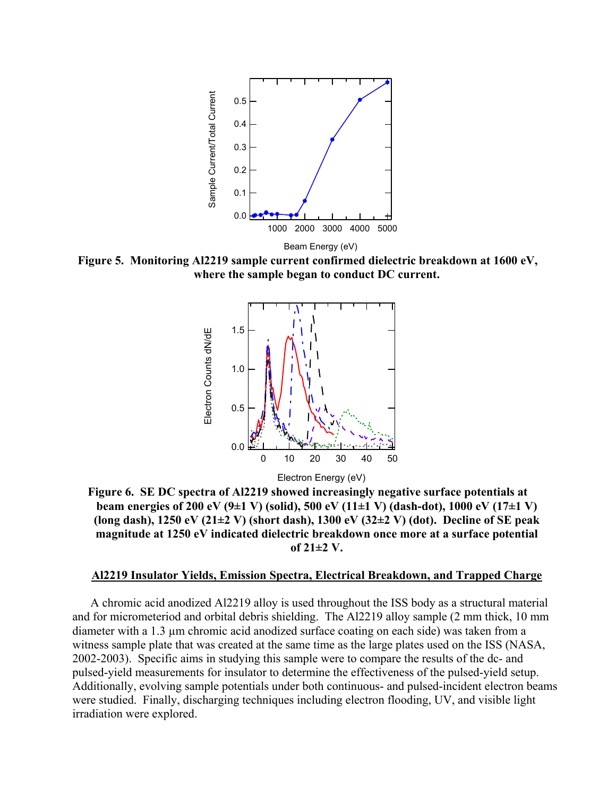

**Figure 5. Monitoring Al2219 sample current confirmed dielectric breakdown at 1600 eV, where the sample began to conduct DC current.** 



**Figure 6. SE DC spectra of Al2219 showed increasingly negative surface potentials at beam energies of 200 eV (9±1 V) (solid), 500 eV (11±1 V) (dash-dot), 1000 eV (17±1 V) (long dash), 1250 eV (21±2 V) (short dash), 1300 eV (32±2 V) (dot). Decline of SE peak magnitude at 1250 eV indicated dielectric breakdown once more at a surface potential of 21±2 V.** 

#### **Al2219 Insulator Yields, Emission Spectra, Electrical Breakdown, and Trapped Charge**

A chromic acid anodized Al2219 alloy is used throughout the ISS body as a structural material and for micrometeriod and orbital debris shielding. The Al2219 alloy sample (2 mm thick, 10 mm diameter with a 1.3 µm chromic acid anodized surface coating on each side) was taken from a witness sample plate that was created at the same time as the large plates used on the ISS (NASA, 2002-2003). Specific aims in studying this sample were to compare the results of the dc- and pulsed-yield measurements for insulator to determine the effectiveness of the pulsed-yield setup. Additionally, evolving sample potentials under both continuous- and pulsed-incident electron beams were studied. Finally, discharging techniques including electron flooding, UV, and visible light irradiation were explored.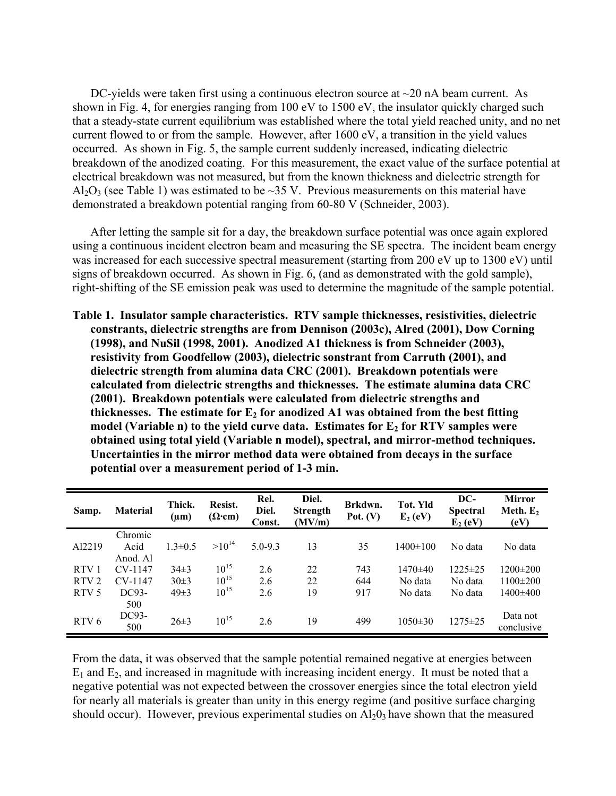DC-yields were taken first using a continuous electron source at  $\sim$ 20 nA beam current. As shown in Fig. 4, for energies ranging from 100 eV to 1500 eV, the insulator quickly charged such that a steady-state current equilibrium was established where the total yield reached unity, and no net current flowed to or from the sample. However, after 1600 eV, a transition in the yield values occurred. As shown in Fig. 5, the sample current suddenly increased, indicating dielectric breakdown of the anodized coating. For this measurement, the exact value of the surface potential at electrical breakdown was not measured, but from the known thickness and dielectric strength for Al<sub>2</sub>O<sub>3</sub> (see Table 1) was estimated to be  $\sim$ 35 V. Previous measurements on this material have demonstrated a breakdown potential ranging from 60-80 V (Schneider, 2003).

After letting the sample sit for a day, the breakdown surface potential was once again explored using a continuous incident electron beam and measuring the SE spectra. The incident beam energy was increased for each successive spectral measurement (starting from 200 eV up to 1300 eV) until signs of breakdown occurred. As shown in Fig. 6, (and as demonstrated with the gold sample), right-shifting of the SE emission peak was used to determine the magnitude of the sample potential.

**Table 1. Insulator sample characteristics. RTV sample thicknesses, resistivities, dielectric constrants, dielectric strengths are from Dennison (2003c), Alred (2001), Dow Corning (1998), and NuSil (1998, 2001). Anodized A1 thickness is from Schneider (2003), resistivity from Goodfellow (2003), dielectric sonstrant from Carruth (2001), and dielectric strength from alumina data CRC (2001). Breakdown potentials were calculated from dielectric strengths and thicknesses. The estimate alumina data CRC (2001). Breakdown potentials were calculated from dielectric strengths and**  thicknesses. The estimate for  $E_2$  for anodized A1 was obtained from the best fitting model (Variable n) to the yield curve data. Estimates for E<sub>2</sub> for RTV samples were **obtained using total yield (Variable n model), spectral, and mirror-method techniques. Uncertainties in the mirror method data were obtained from decays in the surface potential over a measurement period of 1-3 min.** 

| Samp.            | <b>Material</b> | Thick.<br>$(\mu m)$ | Resist.<br>$(\Omega$ cm) | Rel.<br>Diel.<br>Const. | Diel.<br><b>Strength</b><br>(MV/m) | Brkdwn.<br>Pot. $(V)$ | Tot. Yld<br>$E_2$ (eV) | DC-<br><b>Spectral</b><br>$E_2$ (eV) | <b>Mirror</b><br>Meth. $E_2$<br>(eV) |
|------------------|-----------------|---------------------|--------------------------|-------------------------|------------------------------------|-----------------------|------------------------|--------------------------------------|--------------------------------------|
|                  | Chromic         |                     |                          |                         |                                    |                       |                        |                                      |                                      |
| Al2219           | Acid            | $1.3 \pm 0.5$       | $>10^{14}$               | $5.0 - 9.3$             | 13                                 | 35                    | $1400 \pm 100$         | No data                              | No data                              |
|                  | Anod. Al        |                     |                          |                         |                                    |                       |                        |                                      |                                      |
| RTV <sub>1</sub> | CV-1147         | $34\pm3$            | $10^{15}$                | 2.6                     | 22                                 | 743                   | $1470 \pm 40$          | $1225 \pm 25$                        | $1200 \pm 200$                       |
| RTV <sub>2</sub> | CV-1147         | $30 \pm 3$          | $10^{15}$                | 2.6                     | 22                                 | 644                   | No data                | No data                              | $1100 \pm 200$                       |
| RTV <sub>5</sub> | DC93-           | $49\pm3$            | $10^{15}$                | 2.6                     | 19                                 | 917                   | No data                | No data                              | 1400±400                             |
|                  | 500             |                     |                          |                         |                                    |                       |                        |                                      |                                      |
|                  | DC93-           |                     | $10^{15}$                |                         |                                    |                       |                        |                                      | Data not                             |
| RTV <sub>6</sub> | 500             | $26 \pm 3$          |                          | 2.6                     | 19                                 | 499                   | $1050 \pm 30$          | $1275 \pm 25$                        | conclusive                           |

From the data, it was observed that the sample potential remained negative at energies between  $E_1$  and  $E_2$ , and increased in magnitude with increasing incident energy. It must be noted that a negative potential was not expected between the crossover energies since the total electron yield for nearly all materials is greater than unity in this energy regime (and positive surface charging should occur). However, previous experimental studies on  $A<sub>12</sub>O<sub>3</sub>$  have shown that the measured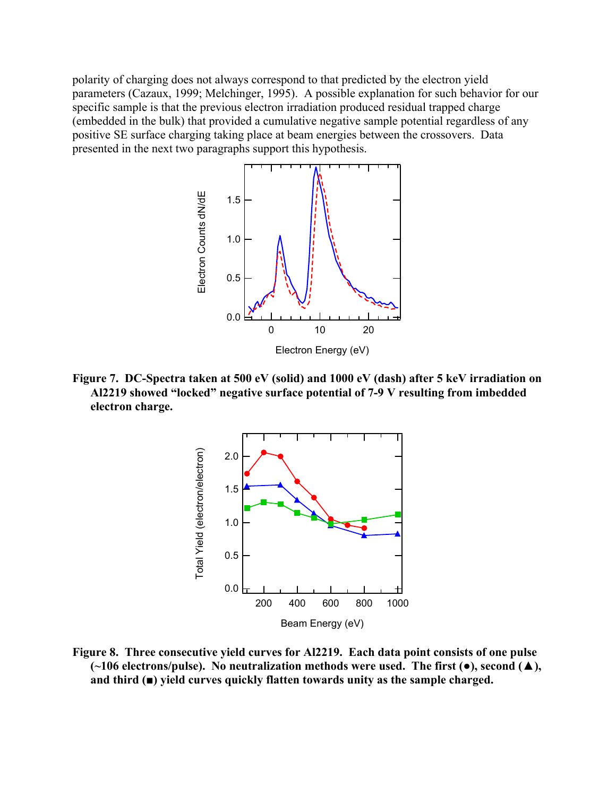polarity of charging does not always correspond to that predicted by the electron yield parameters (Cazaux, 1999; Melchinger, 1995). A possible explanation for such behavior for our specific sample is that the previous electron irradiation produced residual trapped charge (embedded in the bulk) that provided a cumulative negative sample potential regardless of any positive SE surface charging taking place at beam energies between the crossovers. Data presented in the next two paragraphs support this hypothesis.



**Figure 7. DC-Spectra taken at 500 eV (solid) and 1000 eV (dash) after 5 keV irradiation on Al2219 showed "locked" negative surface potential of 7-9 V resulting from imbedded electron charge.** 



**Figure 8. Three consecutive yield curves for Al2219. Each data point consists of one pulse (~106 electrons/pulse). No neutralization methods were used. The first (●), second (▲), and third (■) yield curves quickly flatten towards unity as the sample charged.**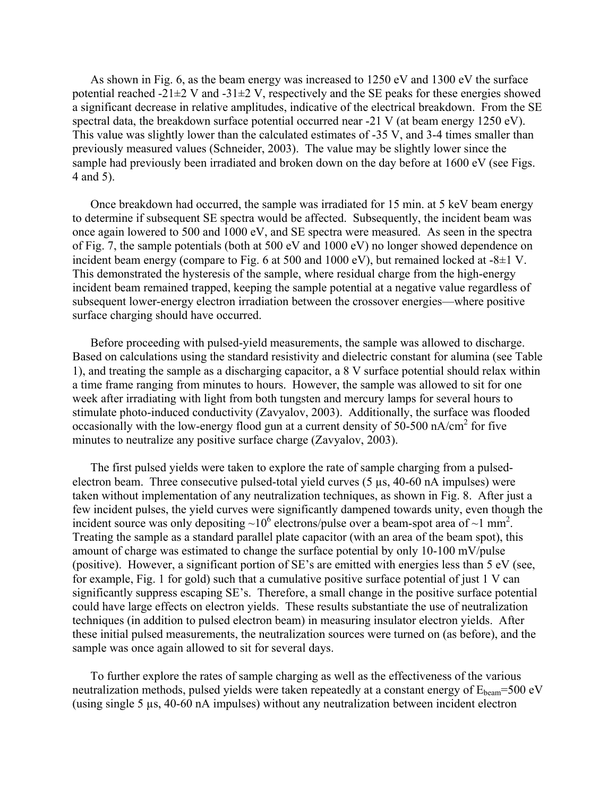As shown in Fig. 6, as the beam energy was increased to 1250 eV and 1300 eV the surface potential reached -21 $\pm$ 2 V and -31 $\pm$ 2 V, respectively and the SE peaks for these energies showed a significant decrease in relative amplitudes, indicative of the electrical breakdown. From the SE spectral data, the breakdown surface potential occurred near -21 V (at beam energy 1250 eV). This value was slightly lower than the calculated estimates of -35 V, and 3-4 times smaller than previously measured values (Schneider, 2003). The value may be slightly lower since the sample had previously been irradiated and broken down on the day before at 1600 eV (see Figs. 4 and 5).

Once breakdown had occurred, the sample was irradiated for 15 min. at 5 keV beam energy to determine if subsequent SE spectra would be affected. Subsequently, the incident beam was once again lowered to 500 and 1000 eV, and SE spectra were measured. As seen in the spectra of Fig. 7, the sample potentials (both at 500 eV and 1000 eV) no longer showed dependence on incident beam energy (compare to Fig. 6 at 500 and 1000 eV), but remained locked at -8±1 V. This demonstrated the hysteresis of the sample, where residual charge from the high-energy incident beam remained trapped, keeping the sample potential at a negative value regardless of subsequent lower-energy electron irradiation between the crossover energies—where positive surface charging should have occurred.

Before proceeding with pulsed-yield measurements, the sample was allowed to discharge. Based on calculations using the standard resistivity and dielectric constant for alumina (see Table 1), and treating the sample as a discharging capacitor, a 8 V surface potential should relax within a time frame ranging from minutes to hours. However, the sample was allowed to sit for one week after irradiating with light from both tungsten and mercury lamps for several hours to stimulate photo-induced conductivity (Zavyalov, 2003). Additionally, the surface was flooded occasionally with the low-energy flood gun at a current density of  $50-500$  nA/cm<sup>2</sup> for five minutes to neutralize any positive surface charge (Zavyalov, 2003).

The first pulsed yields were taken to explore the rate of sample charging from a pulsedelectron beam. Three consecutive pulsed-total yield curves (5 µs, 40-60 nA impulses) were taken without implementation of any neutralization techniques, as shown in Fig. 8. After just a few incident pulses, the yield curves were significantly dampened towards unity, even though the incident source was only depositing  $\sim 10^6$  electrons/pulse over a beam-spot area of  $\sim 1$  mm<sup>2</sup>. Treating the sample as a standard parallel plate capacitor (with an area of the beam spot), this amount of charge was estimated to change the surface potential by only 10-100 mV/pulse (positive). However, a significant portion of SE's are emitted with energies less than 5 eV (see, for example, Fig. 1 for gold) such that a cumulative positive surface potential of just 1 V can significantly suppress escaping SE's. Therefore, a small change in the positive surface potential could have large effects on electron yields. These results substantiate the use of neutralization techniques (in addition to pulsed electron beam) in measuring insulator electron yields. After these initial pulsed measurements, the neutralization sources were turned on (as before), and the sample was once again allowed to sit for several days.

To further explore the rates of sample charging as well as the effectiveness of the various neutralization methods, pulsed yields were taken repeatedly at a constant energy of  $E_{beam}$ =500 eV (using single 5 µs, 40-60 nA impulses) without any neutralization between incident electron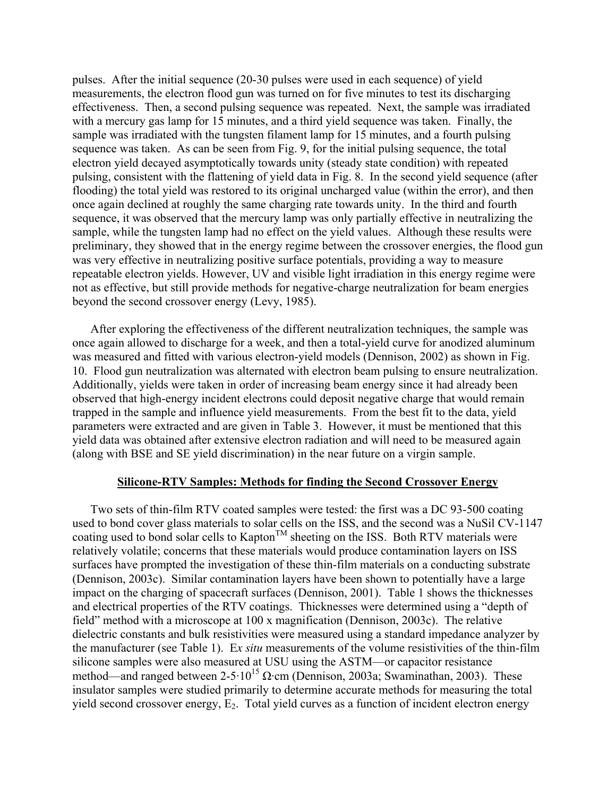pulses. After the initial sequence (20-30 pulses were used in each sequence) of yield measurements, the electron flood gun was turned on for five minutes to test its discharging effectiveness. Then, a second pulsing sequence was repeated. Next, the sample was irradiated with a mercury gas lamp for 15 minutes, and a third yield sequence was taken. Finally, the sample was irradiated with the tungsten filament lamp for 15 minutes, and a fourth pulsing sequence was taken. As can be seen from Fig. 9, for the initial pulsing sequence, the total electron yield decayed asymptotically towards unity (steady state condition) with repeated pulsing, consistent with the flattening of yield data in Fig. 8. In the second yield sequence (after flooding) the total yield was restored to its original uncharged value (within the error), and then once again declined at roughly the same charging rate towards unity. In the third and fourth sequence, it was observed that the mercury lamp was only partially effective in neutralizing the sample, while the tungsten lamp had no effect on the yield values. Although these results were preliminary, they showed that in the energy regime between the crossover energies, the flood gun was very effective in neutralizing positive surface potentials, providing a way to measure repeatable electron yields. However, UV and visible light irradiation in this energy regime were not as effective, but still provide methods for negative-charge neutralization for beam energies beyond the second crossover energy (Levy, 1985).

After exploring the effectiveness of the different neutralization techniques, the sample was once again allowed to discharge for a week, and then a total-yield curve for anodized aluminum was measured and fitted with various electron-yield models (Dennison, 2002) as shown in Fig. 10. Flood gun neutralization was alternated with electron beam pulsing to ensure neutralization. Additionally, yields were taken in order of increasing beam energy since it had already been observed that high-energy incident electrons could deposit negative charge that would remain trapped in the sample and influence yield measurements. From the best fit to the data, yield parameters were extracted and are given in Table 3. However, it must be mentioned that this yield data was obtained after extensive electron radiation and will need to be measured again (along with BSE and SE yield discrimination) in the near future on a virgin sample.

### **Silicone-RTV Samples: Methods for finding the Second Crossover Energy**

Two sets of thin-film RTV coated samples were tested: the first was a DC 93-500 coating used to bond cover glass materials to solar cells on the ISS, and the second was a NuSil CV-1147 coating used to bond solar cells to Kapton<sup>TM</sup> sheeting on the ISS. Both RTV materials were relatively volatile; concerns that these materials would produce contamination layers on ISS surfaces have prompted the investigation of these thin-film materials on a conducting substrate (Dennison, 2003c). Similar contamination layers have been shown to potentially have a large impact on the charging of spacecraft surfaces (Dennison, 2001). Table 1 shows the thicknesses and electrical properties of the RTV coatings. Thicknesses were determined using a "depth of field" method with a microscope at 100 x magnification (Dennison, 2003c). The relative dielectric constants and bulk resistivities were measured using a standard impedance analyzer by the manufacturer (see Table 1). E*x situ* measurements of the volume resistivities of the thin-film silicone samples were also measured at USU using the ASTM—or capacitor resistance method—and ranged between  $2-5.10^{15}$  Ω·cm (Dennison, 2003a; Swaminathan, 2003). These insulator samples were studied primarily to determine accurate methods for measuring the total yield second crossover energy,  $E_2$ . Total yield curves as a function of incident electron energy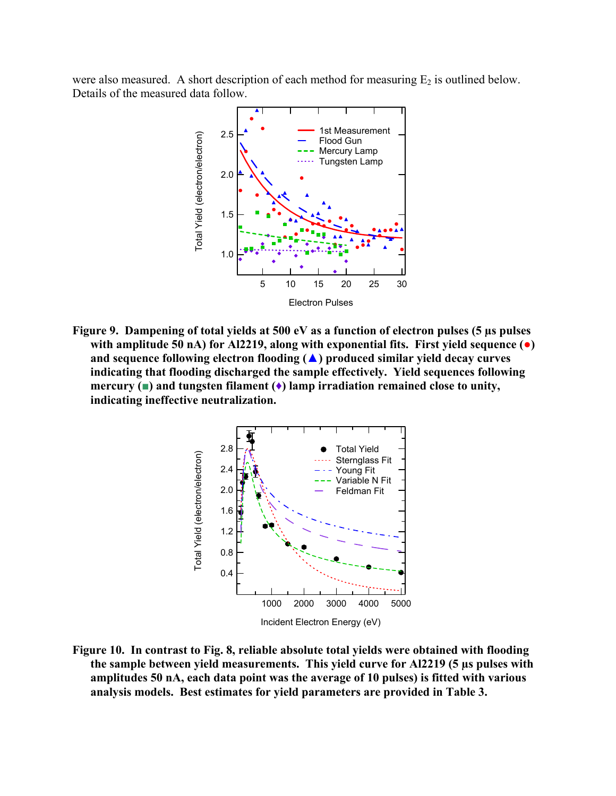were also measured. A short description of each method for measuring  $E_2$  is outlined below. Details of the measured data follow.



**Figure 9. Dampening of total yields at 500 eV as a function of electron pulses (5 µs pulses with amplitude 50 nA) for Al2219, along with exponential fits. First yield sequence (●) and sequence following electron flooding (▲) produced similar yield decay curves indicating that flooding discharged the sample effectively. Yield sequences following mercury (■) and tungsten filament (♦) lamp irradiation remained close to unity, indicating ineffective neutralization.** 



**Figure 10. In contrast to Fig. 8, reliable absolute total yields were obtained with flooding the sample between yield measurements. This yield curve for Al2219 (5 µs pulses with amplitudes 50 nA, each data point was the average of 10 pulses) is fitted with various analysis models. Best estimates for yield parameters are provided in Table 3.**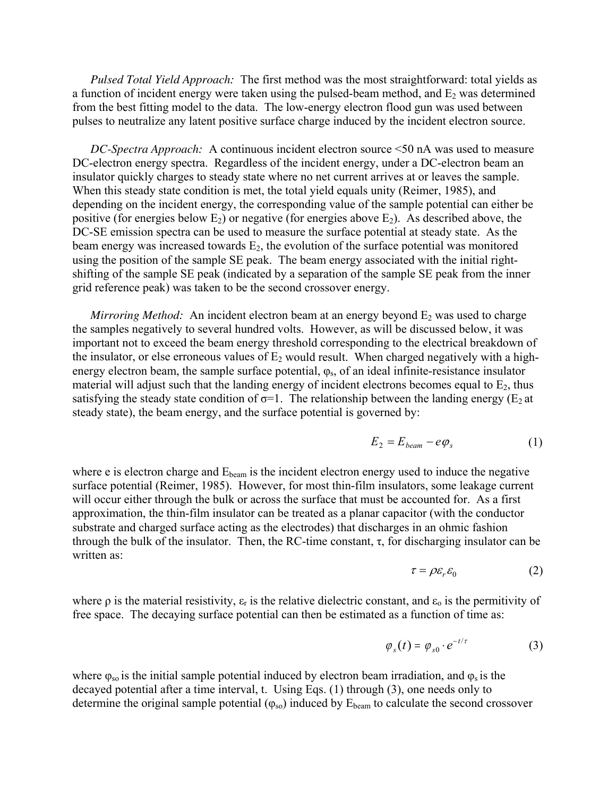*Pulsed Total Yield Approach:* The first method was the most straightforward: total yields as a function of incident energy were taken using the pulsed-beam method, and  $E_2$  was determined from the best fitting model to the data. The low-energy electron flood gun was used between pulses to neutralize any latent positive surface charge induced by the incident electron source.

*DC-Spectra Approach:* A continuous incident electron source <50 nA was used to measure DC-electron energy spectra. Regardless of the incident energy, under a DC-electron beam an insulator quickly charges to steady state where no net current arrives at or leaves the sample. When this steady state condition is met, the total yield equals unity (Reimer, 1985), and depending on the incident energy, the corresponding value of the sample potential can either be positive (for energies below  $E_2$ ) or negative (for energies above  $E_2$ ). As described above, the DC-SE emission spectra can be used to measure the surface potential at steady state. As the beam energy was increased towards  $E_2$ , the evolution of the surface potential was monitored using the position of the sample SE peak. The beam energy associated with the initial rightshifting of the sample SE peak (indicated by a separation of the sample SE peak from the inner grid reference peak) was taken to be the second crossover energy.

*Mirroring Method:* An incident electron beam at an energy beyond  $E_2$  was used to charge the samples negatively to several hundred volts. However, as will be discussed below, it was important not to exceed the beam energy threshold corresponding to the electrical breakdown of the insulator, or else erroneous values of  $E_2$  would result. When charged negatively with a highenergy electron beam, the sample surface potential,  $\varphi_s$ , of an ideal infinite-resistance insulator material will adjust such that the landing energy of incident electrons becomes equal to  $E_2$ , thus satisfying the steady state condition of  $\sigma$ =1. The relationship between the landing energy (E<sub>2</sub> at steady state), the beam energy, and the surface potential is governed by:

$$
E_2 = E_{beam} - e\varphi_s \tag{1}
$$

where  $e$  is electron charge and  $E_{beam}$  is the incident electron energy used to induce the negative surface potential (Reimer, 1985). However, for most thin-film insulators, some leakage current will occur either through the bulk or across the surface that must be accounted for. As a first approximation, the thin-film insulator can be treated as a planar capacitor (with the conductor substrate and charged surface acting as the electrodes) that discharges in an ohmic fashion through the bulk of the insulator. Then, the RC-time constant,  $\tau$ , for discharging insulator can be written as:

$$
\tau = \rho \varepsilon_r \varepsilon_0 \tag{2}
$$

where  $\rho$  is the material resistivity,  $\varepsilon_r$  is the relative dielectric constant, and  $\varepsilon_0$  is the permitivity of free space. The decaying surface potential can then be estimated as a function of time as:

$$
\varphi_s(t) = \varphi_{s0} \cdot e^{-t/\tau} \tag{3}
$$

where  $\varphi_{so}$  is the initial sample potential induced by electron beam irradiation, and  $\varphi_s$  is the decayed potential after a time interval, t. Using Eqs. (1) through (3), one needs only to determine the original sample potential  $(\varphi_{so})$  induced by  $E_{beam}$  to calculate the second crossover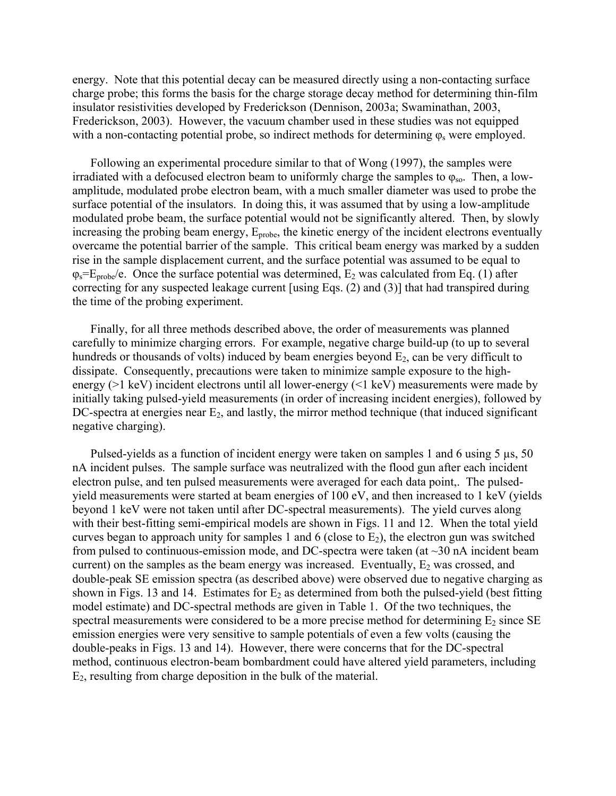energy. Note that this potential decay can be measured directly using a non-contacting surface charge probe; this forms the basis for the charge storage decay method for determining thin-film insulator resistivities developed by Frederickson (Dennison, 2003a; Swaminathan, 2003, Frederickson, 2003). However, the vacuum chamber used in these studies was not equipped with a non-contacting potential probe, so indirect methods for determining  $\varphi_s$  were employed.

Following an experimental procedure similar to that of Wong (1997), the samples were irradiated with a defocused electron beam to uniformly charge the samples to  $\varphi_{so}$ . Then, a lowamplitude, modulated probe electron beam, with a much smaller diameter was used to probe the surface potential of the insulators. In doing this, it was assumed that by using a low-amplitude modulated probe beam, the surface potential would not be significantly altered. Then, by slowly increasing the probing beam energy,  $E_{\text{probe}}$ , the kinetic energy of the incident electrons eventually overcame the potential barrier of the sample. This critical beam energy was marked by a sudden rise in the sample displacement current, and the surface potential was assumed to be equal to  $\varphi_s = E_{\text{probe}}/e$ . Once the surface potential was determined,  $E_2$  was calculated from Eq. (1) after correcting for any suspected leakage current [using Eqs. (2) and (3)] that had transpired during the time of the probing experiment.

Finally, for all three methods described above, the order of measurements was planned carefully to minimize charging errors. For example, negative charge build-up (to up to several hundreds or thousands of volts) induced by beam energies beyond  $E_2$ , can be very difficult to dissipate. Consequently, precautions were taken to minimize sample exposure to the highenergy (>1 keV) incident electrons until all lower-energy (<1 keV) measurements were made by initially taking pulsed-yield measurements (in order of increasing incident energies), followed by DC-spectra at energies near  $E_2$ , and lastly, the mirror method technique (that induced significant negative charging).

Pulsed-yields as a function of incident energy were taken on samples 1 and 6 using 5  $\mu$ s, 50 nA incident pulses. The sample surface was neutralized with the flood gun after each incident electron pulse, and ten pulsed measurements were averaged for each data point,. The pulsedyield measurements were started at beam energies of 100 eV, and then increased to 1 keV (yields beyond 1 keV were not taken until after DC-spectral measurements). The yield curves along with their best-fitting semi-empirical models are shown in Figs. 11 and 12. When the total yield curves began to approach unity for samples 1 and 6 (close to  $E_2$ ), the electron gun was switched from pulsed to continuous-emission mode, and DC-spectra were taken (at  $\sim$ 30 nA incident beam current) on the samples as the beam energy was increased. Eventually,  $E_2$  was crossed, and double-peak SE emission spectra (as described above) were observed due to negative charging as shown in Figs. 13 and 14. Estimates for  $E_2$  as determined from both the pulsed-yield (best fitting model estimate) and DC-spectral methods are given in Table 1. Of the two techniques, the spectral measurements were considered to be a more precise method for determining  $E_2$  since SE emission energies were very sensitive to sample potentials of even a few volts (causing the double-peaks in Figs. 13 and 14). However, there were concerns that for the DC-spectral method, continuous electron-beam bombardment could have altered yield parameters, including E2, resulting from charge deposition in the bulk of the material.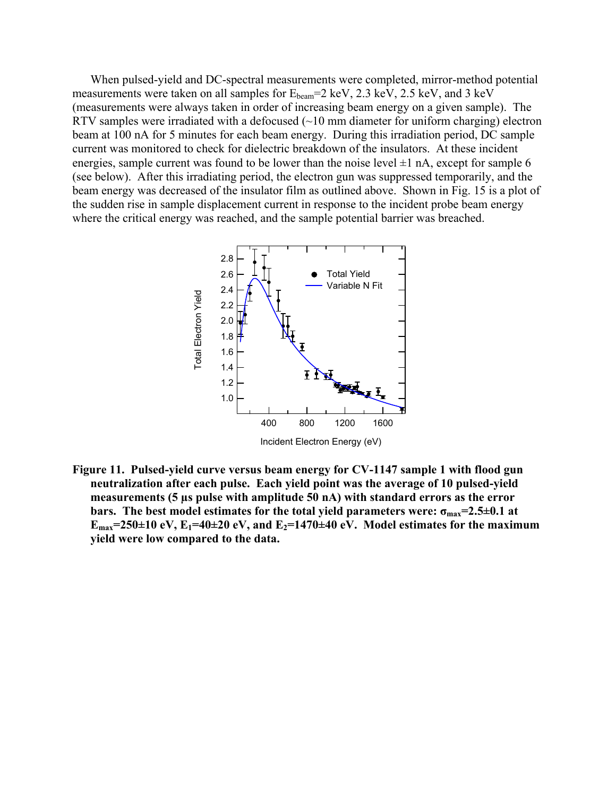When pulsed-yield and DC-spectral measurements were completed, mirror-method potential measurements were taken on all samples for  $E_{beam} = 2 \text{ keV}$ , 2.3 keV, 2.5 keV, and 3 keV (measurements were always taken in order of increasing beam energy on a given sample). The RTV samples were irradiated with a defocused  $(\sim 10 \text{ mm diameter}$  for uniform charging) electron beam at 100 nA for 5 minutes for each beam energy. During this irradiation period, DC sample current was monitored to check for dielectric breakdown of the insulators. At these incident energies, sample current was found to be lower than the noise level  $\pm 1$  nA, except for sample 6 (see below). After this irradiating period, the electron gun was suppressed temporarily, and the beam energy was decreased of the insulator film as outlined above. Shown in Fig. 15 is a plot of the sudden rise in sample displacement current in response to the incident probe beam energy where the critical energy was reached, and the sample potential barrier was breached.



**Figure 11. Pulsed-yield curve versus beam energy for CV-1147 sample 1 with flood gun neutralization after each pulse. Each yield point was the average of 10 pulsed-yield measurements (5 µs pulse with amplitude 50 nA) with standard errors as the error bars.** The best model estimates for the total yield parameters were:  $\sigma_{\text{max}} = 2.5 \pm 0.1$  at  $E_{\text{max}}$ =250±10 eV,  $E_1$ =40±20 eV, and  $E_2$ =1470±40 eV. Model estimates for the maximum **yield were low compared to the data.**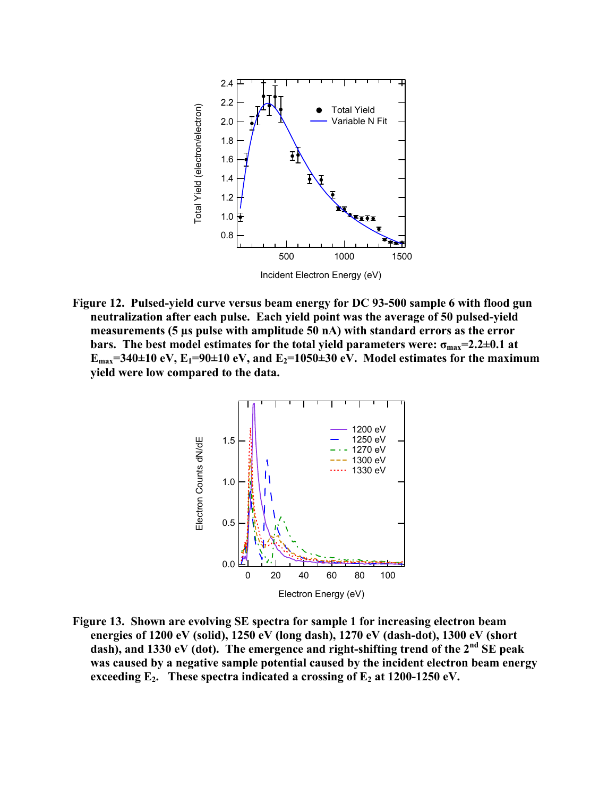

**Figure 12. Pulsed-yield curve versus beam energy for DC 93-500 sample 6 with flood gun neutralization after each pulse. Each yield point was the average of 50 pulsed-yield measurements (5 µs pulse with amplitude 50 nA) with standard errors as the error bars.** The best model estimates for the total yield parameters were:  $\sigma_{max} = 2.2 \pm 0.1$  at  $E_{\text{max}}$ =340±10 eV,  $E_1$ =90±10 eV, and  $E_2$ =1050±30 eV. Model estimates for the maximum **yield were low compared to the data.** 



**Figure 13. Shown are evolving SE spectra for sample 1 for increasing electron beam energies of 1200 eV (solid), 1250 eV (long dash), 1270 eV (dash-dot), 1300 eV (short dash), and 1330 eV (dot). The emergence and right-shifting trend of the 2nd SE peak was caused by a negative sample potential caused by the incident electron beam energy**  exceeding  $E_2$ . These spectra indicated a crossing of  $E_2$  at 1200-1250 eV.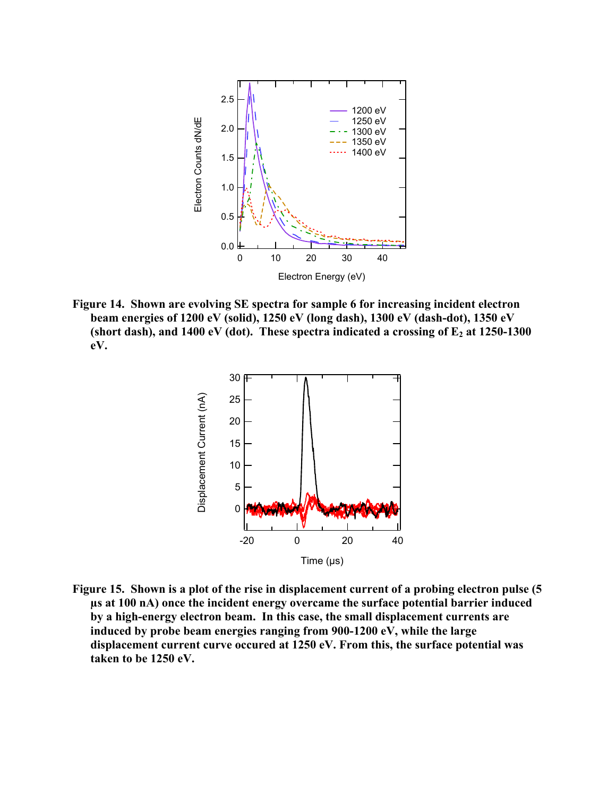

**Figure 14. Shown are evolving SE spectra for sample 6 for increasing incident electron beam energies of 1200 eV (solid), 1250 eV (long dash), 1300 eV (dash-dot), 1350 eV**  (short dash), and  $1400 \text{ eV}$  (dot). These spectra indicated a crossing of  $E_2$  at  $1250-1300$ **eV.** 



**Figure 15. Shown is a plot of the rise in displacement current of a probing electron pulse (5 µs at 100 nA) once the incident energy overcame the surface potential barrier induced by a high-energy electron beam. In this case, the small displacement currents are induced by probe beam energies ranging from 900-1200 eV, while the large displacement current curve occured at 1250 eV. From this, the surface potential was taken to be 1250 eV.**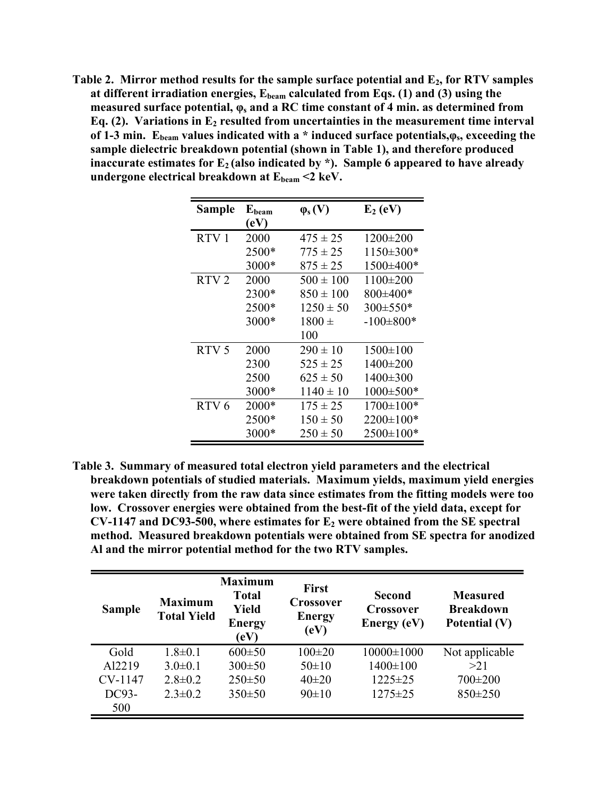Table 2. Mirror method results for the sample surface potential and E<sub>2</sub>, for RTV samples at different irradiation energies,  $E_{beam}$  calculated from Eqs. (1) and (3) using the **measured surface potential,**  $\varphi_s$  **and a RC time constant of 4 min. as determined from Eq. (2).** Variations in E<sub>2</sub> resulted from uncertainties in the measurement time interval **of 1-3 min. Ebeam values indicated with a \* induced surface potentials,φs, exceeding the sample dielectric breakdown potential (shown in Table 1), and therefore produced**  inaccurate estimates for E<sub>2</sub> (also indicated by \*). Sample 6 appeared to have already undergone electrical breakdown at  $E_{beam} < 2 \text{ keV}$ .

| <b>Sample</b>    | Ebeam<br>(eV) | $\varphi_s(V)$ | $E_2$ (eV)      |
|------------------|---------------|----------------|-----------------|
| RTV <sub>1</sub> | 2000          | $475 \pm 25$   | $1200 \pm 200$  |
|                  | 2500*         | $775 \pm 25$   | $1150 \pm 300*$ |
|                  | 3000*         | $875 \pm 25$   | 1500±400*       |
| RTV <sub>2</sub> | 2000          | $500 \pm 100$  | $1100 \pm 200$  |
|                  | 2300*         | $850 \pm 100$  | 800±400*        |
|                  | 2500*         | $1250 \pm 50$  | 300±550*        |
|                  | 3000*         | $1800 \pm$     | $-100\pm800*$   |
|                  |               | 100            |                 |
| RTV <sub>5</sub> | 2000          | $290 \pm 10$   | $1500 \pm 100$  |
|                  | 2300          | $525 \pm 25$   | 1400±200        |
|                  | 2500          | $625 \pm 50$   | 1400±300        |
|                  | 3000*         | $1140 \pm 10$  | 1000±500*       |
| RTV <sub>6</sub> | $2000*$       | $175 \pm 25$   | 1700±100*       |
|                  | 2500*         | $150 \pm 50$   | $2200 \pm 100*$ |
|                  | 3000*         | $250 \pm 50$   | $2500 \pm 100*$ |

**Table 3. Summary of measured total electron yield parameters and the electrical breakdown potentials of studied materials. Maximum yields, maximum yield energies were taken directly from the raw data since estimates from the fitting models were too low. Crossover energies were obtained from the best-fit of the yield data, except for CV-1147 and DC93-500, where estimates for E2 were obtained from the SE spectral method. Measured breakdown potentials were obtained from SE spectra for anodized Al and the mirror potential method for the two RTV samples.** 

| <b>Sample</b> | <b>Maximum</b><br><b>Total Yield</b> | <b>Maximum</b><br><b>Total</b><br><b>Yield</b><br><b>Energy</b><br>(eV) | <b>First</b><br><b>Crossover</b><br><b>Energy</b><br>(eV) | Second<br><b>Crossover</b><br>Energy (eV) | <b>Measured</b><br><b>Breakdown</b><br>Potential (V) |
|---------------|--------------------------------------|-------------------------------------------------------------------------|-----------------------------------------------------------|-------------------------------------------|------------------------------------------------------|
| Gold          | $1.8 \pm 0.1$                        | $600 \pm 50$                                                            | $100\pm 20$                                               | $10000 \pm 1000$                          | Not applicable                                       |
| Al2219        | $3.0 \pm 0.1$                        | $300 \pm 50$                                                            | $50 \pm 10$                                               | $1400 \pm 100$                            | >21                                                  |
| CV-1147       | $2.8 \pm 0.2$                        | $250 \pm 50$                                                            | $40\pm 20$                                                | $1225 \pm 25$                             | $700\pm200$                                          |
| DC93-         | $2.3 \pm 0.2$                        | $350 \pm 50$                                                            | 90±10                                                     | $1275 \pm 25$                             | $850 \pm 250$                                        |
| 500           |                                      |                                                                         |                                                           |                                           |                                                      |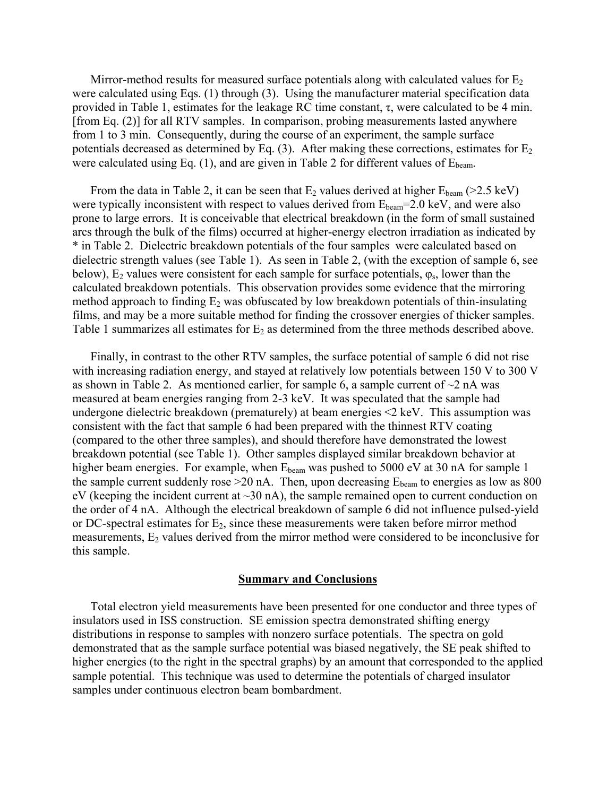Mirror-method results for measured surface potentials along with calculated values for  $E_2$ were calculated using Eqs. (1) through (3). Using the manufacturer material specification data provided in Table 1, estimates for the leakage RC time constant,  $\tau$ , were calculated to be 4 min. [from Eq. (2)] for all RTV samples. In comparison, probing measurements lasted anywhere from 1 to 3 min. Consequently, during the course of an experiment, the sample surface potentials decreased as determined by Eq.  $(3)$ . After making these corrections, estimates for  $E_2$ were calculated using Eq.  $(1)$ , and are given in Table 2 for different values of  $E_{\text{beam}}$ .

From the data in Table 2, it can be seen that  $E_2$  values derived at higher  $E_{beam}$  (>2.5 keV) were typically inconsistent with respect to values derived from  $E_{beam}$ =2.0 keV, and were also prone to large errors. It is conceivable that electrical breakdown (in the form of small sustained arcs through the bulk of the films) occurred at higher-energy electron irradiation as indicated by \* in Table 2. Dielectric breakdown potentials of the four samples were calculated based on dielectric strength values (see Table 1). As seen in Table 2, (with the exception of sample 6, see below),  $E_2$  values were consistent for each sample for surface potentials,  $\varphi_s$ , lower than the calculated breakdown potentials. This observation provides some evidence that the mirroring method approach to finding  $E_2$  was obfuscated by low breakdown potentials of thin-insulating films, and may be a more suitable method for finding the crossover energies of thicker samples. Table 1 summarizes all estimates for  $E_2$  as determined from the three methods described above.

Finally, in contrast to the other RTV samples, the surface potential of sample 6 did not rise with increasing radiation energy, and stayed at relatively low potentials between 150 V to 300 V as shown in Table 2. As mentioned earlier, for sample 6, a sample current of  $\sim$ 2 nA was measured at beam energies ranging from 2-3 keV. It was speculated that the sample had undergone dielectric breakdown (prematurely) at beam energies <2 keV. This assumption was consistent with the fact that sample 6 had been prepared with the thinnest RTV coating (compared to the other three samples), and should therefore have demonstrated the lowest breakdown potential (see Table 1). Other samples displayed similar breakdown behavior at higher beam energies. For example, when  $E_{beam}$  was pushed to 5000 eV at 30 nA for sample 1 the sample current suddenly rose  $>20$  nA. Then, upon decreasing  $E_{beam}$  to energies as low as 800 eV (keeping the incident current at  $\sim$ 30 nA), the sample remained open to current conduction on the order of 4 nA. Although the electrical breakdown of sample 6 did not influence pulsed-yield or DC-spectral estimates for  $E_2$ , since these measurements were taken before mirror method measurements,  $E_2$  values derived from the mirror method were considered to be inconclusive for this sample.

#### **Summary and Conclusions**

Total electron yield measurements have been presented for one conductor and three types of insulators used in ISS construction. SE emission spectra demonstrated shifting energy distributions in response to samples with nonzero surface potentials. The spectra on gold demonstrated that as the sample surface potential was biased negatively, the SE peak shifted to higher energies (to the right in the spectral graphs) by an amount that corresponded to the applied sample potential. This technique was used to determine the potentials of charged insulator samples under continuous electron beam bombardment.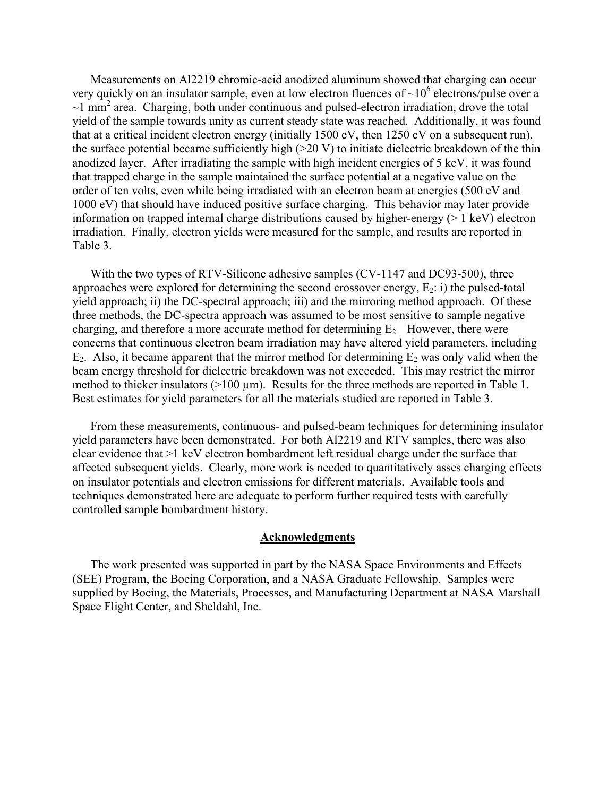Measurements on Al2219 chromic-acid anodized aluminum showed that charging can occur very quickly on an insulator sample, even at low electron fluences of  $\sim 10^6$  electrons/pulse over a  $\sim$ 1 mm<sup>2</sup> area. Charging, both under continuous and pulsed-electron irradiation, drove the total yield of the sample towards unity as current steady state was reached. Additionally, it was found that at a critical incident electron energy (initially 1500 eV, then 1250 eV on a subsequent run), the surface potential became sufficiently high (>20 V) to initiate dielectric breakdown of the thin anodized layer. After irradiating the sample with high incident energies of 5 keV, it was found that trapped charge in the sample maintained the surface potential at a negative value on the order of ten volts, even while being irradiated with an electron beam at energies (500 eV and 1000 eV) that should have induced positive surface charging. This behavior may later provide information on trapped internal charge distributions caused by higher-energy  $(> 1 \text{ keV})$  electron irradiation. Finally, electron yields were measured for the sample, and results are reported in Table 3.

With the two types of RTV-Silicone adhesive samples (CV-1147 and DC93-500), three approaches were explored for determining the second crossover energy,  $E_2$ : i) the pulsed-total yield approach; ii) the DC-spectral approach; iii) and the mirroring method approach. Of these three methods, the DC-spectra approach was assumed to be most sensitive to sample negative charging, and therefore a more accurate method for determining  $E_2$ . However, there were concerns that continuous electron beam irradiation may have altered yield parameters, including  $E_2$ . Also, it became apparent that the mirror method for determining  $E_2$  was only valid when the beam energy threshold for dielectric breakdown was not exceeded. This may restrict the mirror method to thicker insulators  $(>100 \mu m)$ . Results for the three methods are reported in Table 1. Best estimates for yield parameters for all the materials studied are reported in Table 3.

From these measurements, continuous- and pulsed-beam techniques for determining insulator yield parameters have been demonstrated. For both Al2219 and RTV samples, there was also clear evidence that >1 keV electron bombardment left residual charge under the surface that affected subsequent yields. Clearly, more work is needed to quantitatively asses charging effects on insulator potentials and electron emissions for different materials. Available tools and techniques demonstrated here are adequate to perform further required tests with carefully controlled sample bombardment history.

### **Acknowledgments**

The work presented was supported in part by the NASA Space Environments and Effects (SEE) Program, the Boeing Corporation, and a NASA Graduate Fellowship. Samples were supplied by Boeing, the Materials, Processes, and Manufacturing Department at NASA Marshall Space Flight Center, and Sheldahl, Inc.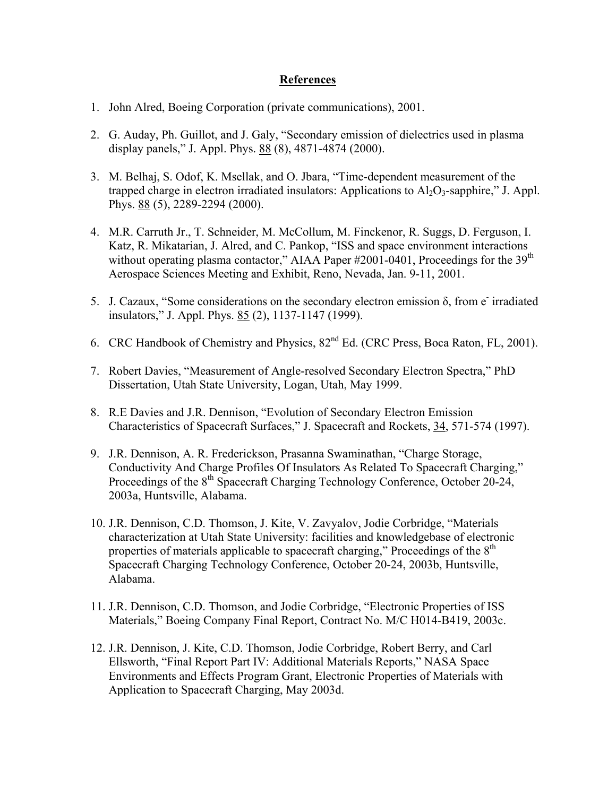## **References**

- 1. John Alred, Boeing Corporation (private communications), 2001.
- 2. G. Auday, Ph. Guillot, and J. Galy, "Secondary emission of dielectrics used in plasma display panels," J. Appl. Phys. 88 (8), 4871-4874 (2000).
- 3. M. Belhaj, S. Odof, K. Msellak, and O. Jbara, "Time-dependent measurement of the trapped charge in electron irradiated insulators: Applications to  $A<sub>12</sub>O<sub>3</sub>$ -sapphire," J. Appl. Phys. 88 (5), 2289-2294 (2000).
- 4. M.R. Carruth Jr., T. Schneider, M. McCollum, M. Finckenor, R. Suggs, D. Ferguson, I. Katz, R. Mikatarian, J. Alred, and C. Pankop, "ISS and space environment interactions without operating plasma contactor," AIAA Paper #2001-0401, Proceedings for the 39<sup>th</sup> Aerospace Sciences Meeting and Exhibit, Reno, Nevada, Jan. 9-11, 2001.
- 5. J. Cazaux, "Some considerations on the secondary electron emission  $\delta$ , from e<sup>-</sup> irradiated insulators," J. Appl. Phys. 85 (2), 1137-1147 (1999).
- 6. CRC Handbook of Chemistry and Physics, 82nd Ed. (CRC Press, Boca Raton, FL, 2001).
- 7. Robert Davies, "Measurement of Angle-resolved Secondary Electron Spectra," PhD Dissertation, Utah State University, Logan, Utah, May 1999.
- 8. R.E Davies and J.R. Dennison, "Evolution of Secondary Electron Emission Characteristics of Spacecraft Surfaces," J. Spacecraft and Rockets, 34, 571-574 (1997).
- 9. J.R. Dennison, A. R. Frederickson, Prasanna Swaminathan, "Charge Storage, Conductivity And Charge Profiles Of Insulators As Related To Spacecraft Charging," Proceedings of the 8<sup>th</sup> Spacecraft Charging Technology Conference, October 20-24, 2003a, Huntsville, Alabama.
- 10. J.R. Dennison, C.D. Thomson, J. Kite, V. Zavyalov, Jodie Corbridge, "Materials characterization at Utah State University: facilities and knowledgebase of electronic properties of materials applicable to spacecraft charging," Proceedings of the 8<sup>th</sup> Spacecraft Charging Technology Conference, October 20-24, 2003b, Huntsville, Alabama.
- 11. J.R. Dennison, C.D. Thomson, and Jodie Corbridge, "Electronic Properties of ISS Materials," Boeing Company Final Report, Contract No. M/C H014-B419, 2003c.
- 12. J.R. Dennison, J. Kite, C.D. Thomson, Jodie Corbridge, Robert Berry, and Carl Ellsworth, "Final Report Part IV: Additional Materials Reports," NASA Space Environments and Effects Program Grant, Electronic Properties of Materials with Application to Spacecraft Charging, May 2003d.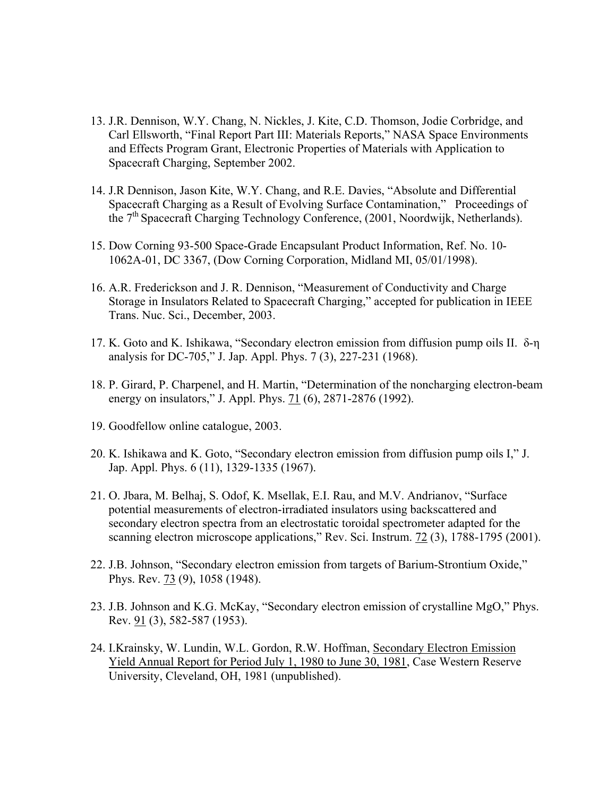- 13. J.R. Dennison, W.Y. Chang, N. Nickles, J. Kite, C.D. Thomson, Jodie Corbridge, and Carl Ellsworth, "Final Report Part III: Materials Reports," NASA Space Environments and Effects Program Grant, Electronic Properties of Materials with Application to Spacecraft Charging, September 2002.
- 14. J.R Dennison, Jason Kite, W.Y. Chang, and R.E. Davies, "Absolute and Differential Spacecraft Charging as a Result of Evolving Surface Contamination," Proceedings of the 7th Spacecraft Charging Technology Conference, (2001, Noordwijk, Netherlands).
- 15. Dow Corning 93-500 Space-Grade Encapsulant Product Information, Ref. No. 10- 1062A-01, DC 3367, (Dow Corning Corporation, Midland MI, 05/01/1998).
- 16. A.R. Frederickson and J. R. Dennison, "Measurement of Conductivity and Charge Storage in Insulators Related to Spacecraft Charging," accepted for publication in IEEE Trans. Nuc. Sci., December, 2003.
- 17. K. Goto and K. Ishikawa, "Secondary electron emission from diffusion pump oils II. δ-η analysis for DC-705," J. Jap. Appl. Phys. 7 (3), 227-231 (1968).
- 18. P. Girard, P. Charpenel, and H. Martin, "Determination of the noncharging electron-beam energy on insulators," J. Appl. Phys. 71 (6), 2871-2876 (1992).
- 19. Goodfellow online catalogue, 2003.
- 20. K. Ishikawa and K. Goto, "Secondary electron emission from diffusion pump oils I," J. Jap. Appl. Phys. 6 (11), 1329-1335 (1967).
- 21. O. Jbara, M. Belhaj, S. Odof, K. Msellak, E.I. Rau, and M.V. Andrianov, "Surface potential measurements of electron-irradiated insulators using backscattered and secondary electron spectra from an electrostatic toroidal spectrometer adapted for the scanning electron microscope applications," Rev. Sci. Instrum. 72 (3), 1788-1795 (2001).
- 22. J.B. Johnson, "Secondary electron emission from targets of Barium-Strontium Oxide," Phys. Rev. 73 (9), 1058 (1948).
- 23. J.B. Johnson and K.G. McKay, "Secondary electron emission of crystalline MgO," Phys. Rev. 91 (3), 582-587 (1953).
- 24. I.Krainsky, W. Lundin, W.L. Gordon, R.W. Hoffman, Secondary Electron Emission Yield Annual Report for Period July 1, 1980 to June 30, 1981, Case Western Reserve University, Cleveland, OH, 1981 (unpublished).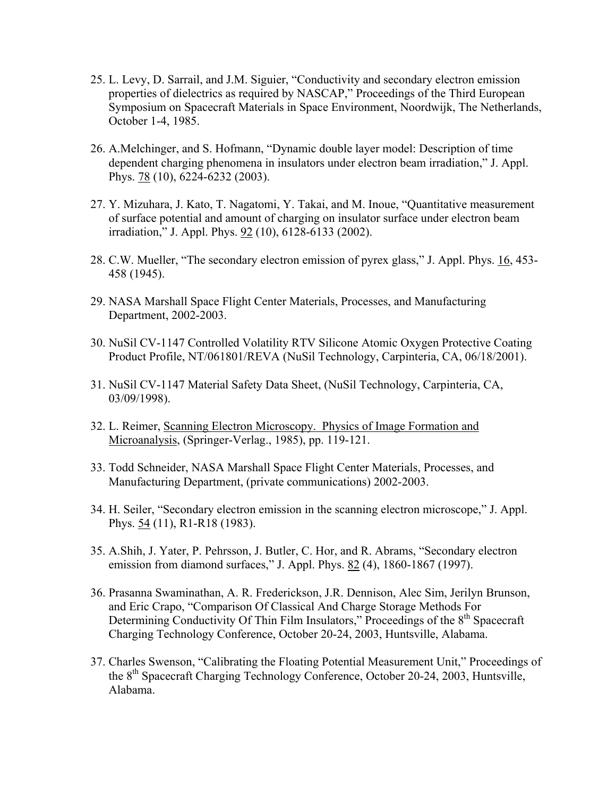- 25. L. Levy, D. Sarrail, and J.M. Siguier, "Conductivity and secondary electron emission properties of dielectrics as required by NASCAP," Proceedings of the Third European Symposium on Spacecraft Materials in Space Environment, Noordwijk, The Netherlands, October 1-4, 1985.
- 26. A.Melchinger, and S. Hofmann, "Dynamic double layer model: Description of time dependent charging phenomena in insulators under electron beam irradiation," J. Appl. Phys. 78 (10), 6224-6232 (2003).
- 27. Y. Mizuhara, J. Kato, T. Nagatomi, Y. Takai, and M. Inoue, "Quantitative measurement of surface potential and amount of charging on insulator surface under electron beam irradiation," J. Appl. Phys. 92 (10), 6128-6133 (2002).
- 28. C.W. Mueller, "The secondary electron emission of pyrex glass," J. Appl. Phys. 16, 453- 458 (1945).
- 29. NASA Marshall Space Flight Center Materials, Processes, and Manufacturing Department, 2002-2003.
- 30. NuSil CV-1147 Controlled Volatility RTV Silicone Atomic Oxygen Protective Coating Product Profile, NT/061801/REVA (NuSil Technology, Carpinteria, CA, 06/18/2001).
- 31. NuSil CV-1147 Material Safety Data Sheet, (NuSil Technology, Carpinteria, CA, 03/09/1998).
- 32. L. Reimer, Scanning Electron Microscopy. Physics of Image Formation and Microanalysis, (Springer-Verlag., 1985), pp. 119-121.
- 33. Todd Schneider, NASA Marshall Space Flight Center Materials, Processes, and Manufacturing Department, (private communications) 2002-2003.
- 34. H. Seiler, "Secondary electron emission in the scanning electron microscope," J. Appl. Phys. 54 (11), R1-R18 (1983).
- 35. A.Shih, J. Yater, P. Pehrsson, J. Butler, C. Hor, and R. Abrams, "Secondary electron emission from diamond surfaces," J. Appl. Phys. 82 (4), 1860-1867 (1997).
- 36. Prasanna Swaminathan, A. R. Frederickson, J.R. Dennison, Alec Sim, Jerilyn Brunson, and Eric Crapo, "Comparison Of Classical And Charge Storage Methods For Determining Conductivity Of Thin Film Insulators," Proceedings of the 8<sup>th</sup> Spacecraft Charging Technology Conference, October 20-24, 2003, Huntsville, Alabama.
- 37. Charles Swenson, "Calibrating the Floating Potential Measurement Unit," Proceedings of the  $8<sup>th</sup>$  Spacecraft Charging Technology Conference, October 20-24, 2003, Huntsville, Alabama.